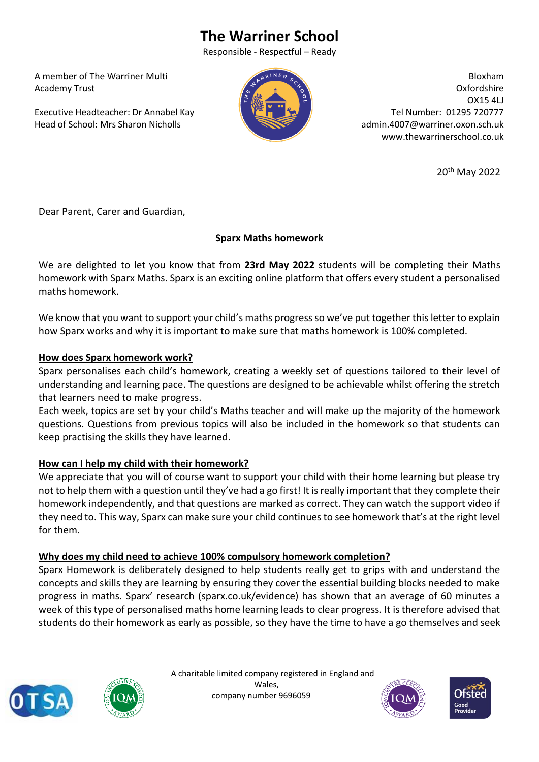# **The Warriner School**

Responsible - Respectful – Ready

 A member of The Warriner Multi Academy Trust

 Executive Headteacher: Dr Annabel Kay Head of School: Mrs Sharon Nicholls



Bloxham Oxfordshire OX15 4LJ Tel Number: 01295 720777 admin.4007@warriner.oxon.sch.uk www.thewarrinerschool.co.uk

20th May 2022

Dear Parent, Carer and Guardian,

### **Sparx Maths homework**

We are delighted to let you know that from **23rd May 2022** students will be completing their Maths homework with Sparx Maths. Sparx is an exciting online platform that offers every student a personalised maths homework.

We know that you want to support your child's maths progress so we've put together this letter to explain how Sparx works and why it is important to make sure that maths homework is 100% completed.

### **How does Sparx homework work?**

Sparx personalises each child's homework, creating a weekly set of questions tailored to their level of understanding and learning pace. The questions are designed to be achievable whilst offering the stretch that learners need to make progress.

Each week, topics are set by your child's Maths teacher and will make up the majority of the homework questions. Questions from previous topics will also be included in the homework so that students can keep practising the skills they have learned.

## **How can I help my child with their homework?**

We appreciate that you will of course want to support your child with their home learning but please try not to help them with a question until they've had a go first! It is really important that they complete their homework independently, and that questions are marked as correct. They can watch the support video if they need to. This way, Sparx can make sure your child continues to see homework that's at the right level for them.

#### **Why does my child need to achieve 100% compulsory homework completion?**

Sparx Homework is deliberately designed to help students really get to grips with and understand the concepts and skills they are learning by ensuring they cover the essential building blocks needed to make progress in maths. Sparx' research (sparx.co.uk/evidence) has shown that an average of 60 minutes a week of this type of personalised maths home learning leads to clear progress. It is therefore advised that students do their homework as early as possible, so they have the time to have a go themselves and seek





 A charitable limited company registered in England and Wales, company number 9696059